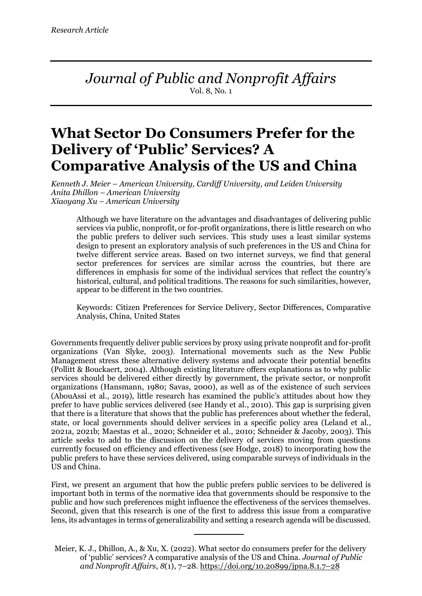*Journal of Public and Nonprofit Affairs* Vol. 8, No. 1

# **What Sector Do Consumers Prefer for the Delivery of 'Public' Services? A Comparative Analysis of the US and China**

*Kenneth J. Meier – American University, Cardiff University, and Leiden University Anita Dhillon – American University Xiaoyang Xu – American University*

Although we have literature on the advantages and disadvantages of delivering public services via public, nonprofit, or for-profit organizations, there is little research on who the public prefers to deliver such services. This study uses a least similar systems design to present an exploratory analysis of such preferences in the US and China for twelve different service areas. Based on two internet surveys, we find that general sector preferences for services are similar across the countries, but there are differences in emphasis for some of the individual services that reflect the country's historical, cultural, and political traditions. The reasons for such similarities, however, appear to be different in the two countries.

Keywords: Citizen Preferences for Service Delivery, Sector Differences, Comparative Analysis, China, United States

Governments frequently deliver public services by proxy using private nonprofit and for-profit organizations (Van Slyke, 2003). International movements such as the New Public Management stress these alternative delivery systems and advocate their potential benefits (Pollitt & Bouckaert, 2004). Although existing literature offers explanations as to why public services should be delivered either directly by government, the private sector, or nonprofit organizations (Hansmann, 1980; Savas, 2000), as well as of the existence of such services (AbouAssi et al., 2019), little research has examined the public's attitudes about how they prefer to have public services delivered (see Handy et al., 2010). This gap is surprising given that there is a literature that shows that the public has preferences about whether the federal, state, or local governments should deliver services in a specific policy area (Leland et al., 2021a, 2021b; Maestas et al., 2020; Schneider et al., 2010; Schneider & Jacoby, 2003). This article seeks to add to the discussion on the delivery of services moving from questions currently focused on efficiency and effectiveness (see Hodge, 2018) to incorporating how the public prefers to have these services delivered, using comparable surveys of individuals in the US and China.

First, we present an argument that how the public prefers public services to be delivered is important both in terms of the normative idea that governments should be responsive to the public and how such preferences might influence the effectiveness of the services themselves. Second, given that this research is one of the first to address this issue from a comparative lens, its advantages in terms of generalizability and setting a research agenda will be discussed.

Meier, K. J., Dhillon, A., & Xu, X. (2022). What sector do consumers prefer for the delivery of 'public' services? A comparative analysis of the US and China. *Journal of Public and Nonprofit Affairs*, *8*(1), 7–28. https://doi.org/10.20899/jpna.8.1.7–28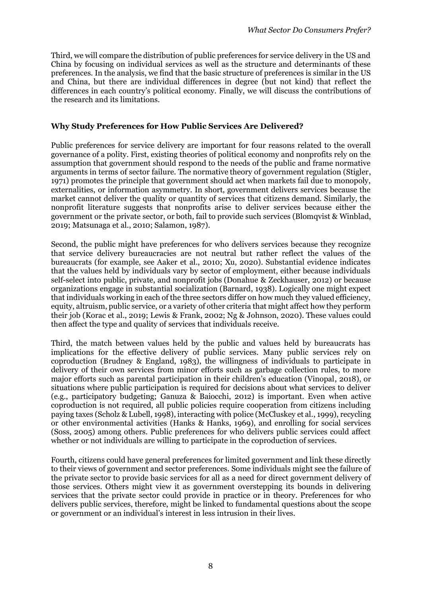Third, we will compare the distribution of public preferences for service delivery in the US and China by focusing on individual services as well as the structure and determinants of these preferences. In the analysis, we find that the basic structure of preferences is similar in the US and China, but there are individual differences in degree (but not kind) that reflect the differences in each country's political economy. Finally, we will discuss the contributions of the research and its limitations.

#### **Why Study Preferences for How Public Services Are Delivered?**

Public preferences for service delivery are important for four reasons related to the overall governance of a polity. First, existing theories of political economy and nonprofits rely on the assumption that government should respond to the needs of the public and frame normative arguments in terms of sector failure. The normative theory of government regulation (Stigler, 1971) promotes the principle that government should act when markets fail due to monopoly, externalities, or information asymmetry. In short, government delivers services because the market cannot deliver the quality or quantity of services that citizens demand. Similarly, the nonprofit literature suggests that nonprofits arise to deliver services because either the government or the private sector, or both, fail to provide such services (Blomqvist & Winblad, 2019; Matsunaga et al., 2010; Salamon, 1987).

Second, the public might have preferences for who delivers services because they recognize that service delivery bureaucracies are not neutral but rather reflect the values of the bureaucrats (for example, see Aaker et al., 2010; Xu, 2020). Substantial evidence indicates that the values held by individuals vary by sector of employment, either because individuals self-select into public, private, and nonprofit jobs (Donahue & Zeckhauser, 2012) or because organizations engage in substantial socialization (Barnard, 1938). Logically one might expect that individuals working in each of the three sectors differ on how much they valued efficiency, equity, altruism, public service, or a variety of other criteria that might affect how they perform their job (Korac et al., 2019; Lewis & Frank, 2002; Ng & Johnson, 2020). These values could then affect the type and quality of services that individuals receive.

Third, the match between values held by the public and values held by bureaucrats has implications for the effective delivery of public services. Many public services rely on coproduction (Brudney & England, 1983), the willingness of individuals to participate in delivery of their own services from minor efforts such as garbage collection rules, to more major efforts such as parental participation in their children's education (Vinopal, 2018), or situations where public participation is required for decisions about what services to deliver (e.g., participatory budgeting; Ganuza & Baiocchi, 2012) is important. Even when active coproduction is not required, all public policies require cooperation from citizens including paying taxes (Scholz & Lubell, 1998), interacting with police (McCluskey et al., 1999), recycling or other environmental activities (Hanks & Hanks, 1969), and enrolling for social services (Soss, 2005) among others. Public preferences for who delivers public services could affect whether or not individuals are willing to participate in the coproduction of services.

Fourth, citizens could have general preferences for limited government and link these directly to their views of government and sector preferences. Some individuals might see the failure of the private sector to provide basic services for all as a need for direct government delivery of those services. Others might view it as government overstepping its bounds in delivering services that the private sector could provide in practice or in theory. Preferences for who delivers public services, therefore, might be linked to fundamental questions about the scope or government or an individual's interest in less intrusion in their lives.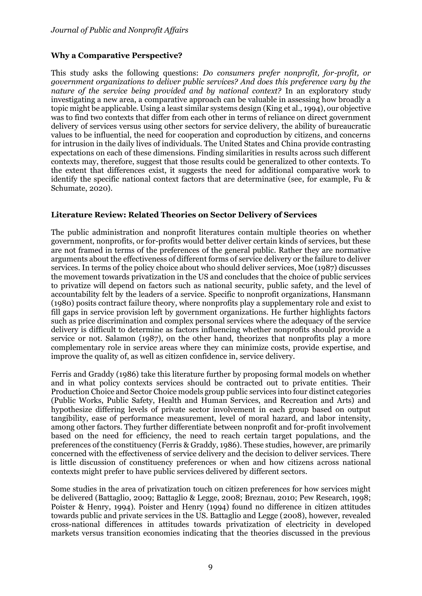### **Why a Comparative Perspective?**

This study asks the following questions: *Do consumers prefer nonprofit, for-profit, or government organizations to deliver public services? And does this preference vary by the nature of the service being provided and by national context?* In an exploratory study investigating a new area, a comparative approach can be valuable in assessing how broadly a topic might be applicable. Using a least similar systems design (King et al., 1994), our objective was to find two contexts that differ from each other in terms of reliance on direct government delivery of services versus using other sectors for service delivery, the ability of bureaucratic values to be influential, the need for cooperation and coproduction by citizens, and concerns for intrusion in the daily lives of individuals. The United States and China provide contrasting expectations on each of these dimensions. Finding similarities in results across such different contexts may, therefore, suggest that those results could be generalized to other contexts. To the extent that differences exist, it suggests the need for additional comparative work to identify the specific national context factors that are determinative (see, for example, Fu & Schumate, 2020).

#### **Literature Review: Related Theories on Sector Delivery of Services**

The public administration and nonprofit literatures contain multiple theories on whether government, nonprofits, or for-profits would better deliver certain kinds of services, but these are not framed in terms of the preferences of the general public. Rather they are normative arguments about the effectiveness of different forms of service delivery or the failure to deliver services. In terms of the policy choice about who should deliver services, Moe (1987) discusses the movement towards privatization in the US and concludes that the choice of public services to privatize will depend on factors such as national security, public safety, and the level of accountability felt by the leaders of a service. Specific to nonprofit organizations, Hansmann (1980) posits contract failure theory, where nonprofits play a supplementary role and exist to fill gaps in service provision left by government organizations. He further highlights factors such as price discrimination and complex personal services where the adequacy of the service delivery is difficult to determine as factors influencing whether nonprofits should provide a service or not. Salamon (1987), on the other hand, theorizes that nonprofits play a more complementary role in service areas where they can minimize costs, provide expertise, and improve the quality of, as well as citizen confidence in, service delivery.

Ferris and Graddy (1986) take this literature further by proposing formal models on whether and in what policy contexts services should be contracted out to private entities. Their Production Choice and Sector Choice models group public services into four distinct categories (Public Works, Public Safety, Health and Human Services, and Recreation and Arts) and hypothesize differing levels of private sector involvement in each group based on output tangibility, ease of performance measurement, level of moral hazard, and labor intensity, among other factors. They further differentiate between nonprofit and for-profit involvement based on the need for efficiency, the need to reach certain target populations, and the preferences of the constituency (Ferris & Graddy, 1986). These studies, however, are primarily concerned with the effectiveness of service delivery and the decision to deliver services. There is little discussion of constituency preferences or when and how citizens across national contexts might prefer to have public services delivered by different sectors.

Some studies in the area of privatization touch on citizen preferences for how services might be delivered (Battaglio, 2009; Battaglio & Legge, 2008; Breznau, 2010; Pew Research, 1998; Poister & Henry, 1994). Poister and Henry (1994) found no difference in citizen attitudes towards public and private services in the US. Battaglio and Legge (2008), however, revealed cross-national differences in attitudes towards privatization of electricity in developed markets versus transition economies indicating that the theories discussed in the previous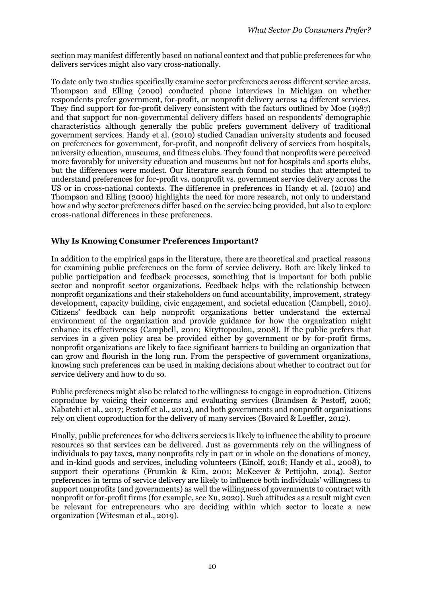section may manifest differently based on national context and that public preferences for who delivers services might also vary cross-nationally.

To date only two studies specifically examine sector preferences across different service areas. Thompson and Elling (2000) conducted phone interviews in Michigan on whether respondents prefer government, for-profit, or nonprofit delivery across 14 different services. They find support for for-profit delivery consistent with the factors outlined by Moe (1987) and that support for non-governmental delivery differs based on respondents' demographic characteristics although generally the public prefers government delivery of traditional government services. Handy et al. (2010) studied Canadian university students and focused on preferences for government, for-profit, and nonprofit delivery of services from hospitals, university education, museums, and fitness clubs. They found that nonprofits were perceived more favorably for university education and museums but not for hospitals and sports clubs, but the differences were modest. Our literature search found no studies that attempted to understand preferences for for-profit vs. nonprofit vs. government service delivery across the US or in cross-national contexts. The difference in preferences in Handy et al. (2010) and Thompson and Elling (2000) highlights the need for more research, not only to understand how and why sector preferences differ based on the service being provided, but also to explore cross-national differences in these preferences.

# **Why Is Knowing Consumer Preferences Important?**

In addition to the empirical gaps in the literature, there are theoretical and practical reasons for examining public preferences on the form of service delivery. Both are likely linked to public participation and feedback processes, something that is important for both public sector and nonprofit sector organizations. Feedback helps with the relationship between nonprofit organizations and their stakeholders on fund accountability, improvement, strategy development, capacity building, civic engagement, and societal education (Campbell, 2010). Citizens' feedback can help nonprofit organizations better understand the external environment of the organization and provide guidance for how the organization might enhance its effectiveness (Campbell, 2010; Kiryttopoulou, 2008). If the public prefers that services in a given policy area be provided either by government or by for-profit firms, nonprofit organizations are likely to face significant barriers to building an organization that can grow and flourish in the long run. From the perspective of government organizations, knowing such preferences can be used in making decisions about whether to contract out for service delivery and how to do so.

Public preferences might also be related to the willingness to engage in coproduction. Citizens coproduce by voicing their concerns and evaluating services (Brandsen & Pestoff, 2006; Nabatchi et al., 2017; Pestoff et al., 2012), and both governments and nonprofit organizations rely on client coproduction for the delivery of many services (Bovaird & Loeffler, 2012).

Finally, public preferences for who delivers services is likely to influence the ability to procure resources so that services can be delivered. Just as governments rely on the willingness of individuals to pay taxes, many nonprofits rely in part or in whole on the donations of money, and in-kind goods and services, including volunteers (Einolf, 2018; Handy et al., 2008), to support their operations (Frumkin & Kim, 2001; McKeever & Pettijohn, 2014). Sector preferences in terms of service delivery are likely to influence both individuals' willingness to support nonprofits (and governments) as well the willingness of governments to contract with nonprofit or for-profit firms (for example, see Xu, 2020). Such attitudes as a result might even be relevant for entrepreneurs who are deciding within which sector to locate a new organization (Witesman et al., 2019).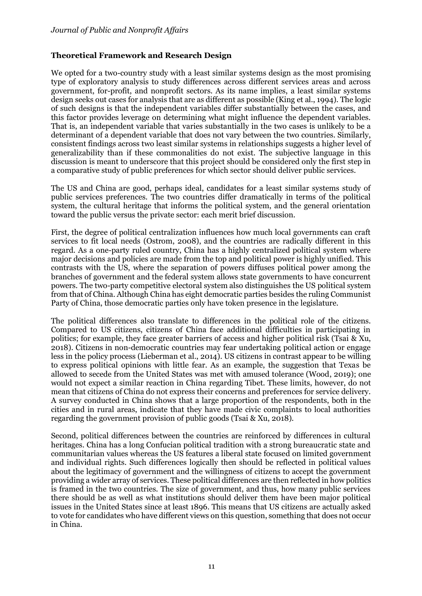### **Theoretical Framework and Research Design**

We opted for a two-country study with a least similar systems design as the most promising type of exploratory analysis to study differences across different services areas and across government, for-profit, and nonprofit sectors. As its name implies, a least similar systems design seeks out cases for analysis that are as different as possible (King et al., 1994). The logic of such designs is that the independent variables differ substantially between the cases, and this factor provides leverage on determining what might influence the dependent variables. That is, an independent variable that varies substantially in the two cases is unlikely to be a determinant of a dependent variable that does not vary between the two countries. Similarly, consistent findings across two least similar systems in relationships suggests a higher level of generalizability than if these commonalities do not exist. The subjective language in this discussion is meant to underscore that this project should be considered only the first step in a comparative study of public preferences for which sector should deliver public services.

The US and China are good, perhaps ideal, candidates for a least similar systems study of public services preferences. The two countries differ dramatically in terms of the political system, the cultural heritage that informs the political system, and the general orientation toward the public versus the private sector: each merit brief discussion.

First, the degree of political centralization influences how much local governments can craft services to fit local needs (Ostrom, 2008), and the countries are radically different in this regard. As a one-party ruled country, China has a highly centralized political system where major decisions and policies are made from the top and political power is highly unified. This contrasts with the US, where the separation of powers diffuses political power among the branches of government and the federal system allows state governments to have concurrent powers. The two-party competitive electoral system also distinguishes the US political system from that of China. Although China has eight democratic parties besides the ruling Communist Party of China, those democratic parties only have token presence in the legislature.

The political differences also translate to differences in the political role of the citizens. Compared to US citizens, citizens of China face additional difficulties in participating in politics; for example, they face greater barriers of access and higher political risk (Tsai & Xu, 2018). Citizens in non-democratic countries may fear undertaking political action or engage less in the policy process (Lieberman et al., 2014). US citizens in contrast appear to be willing to express political opinions with little fear. As an example, the suggestion that Texas be allowed to secede from the United States was met with amused tolerance (Wood, 2019); one would not expect a similar reaction in China regarding Tibet. These limits, however, do not mean that citizens of China do not express their concerns and preferences for service delivery. A survey conducted in China shows that a large proportion of the respondents, both in the cities and in rural areas, indicate that they have made civic complaints to local authorities regarding the government provision of public goods (Tsai & Xu, 2018).

Second, political differences between the countries are reinforced by differences in cultural heritages. China has a long Confucian political tradition with a strong bureaucratic state and communitarian values whereas the US features a liberal state focused on limited government and individual rights. Such differences logically then should be reflected in political values about the legitimacy of government and the willingness of citizens to accept the government providing a wider array of services. These political differences are then reflected in how politics is framed in the two countries. The size of government, and thus, how many public services there should be as well as what institutions should deliver them have been major political issues in the United States since at least 1896. This means that US citizens are actually asked to vote for candidates who have different views on this question, something that does not occur in China.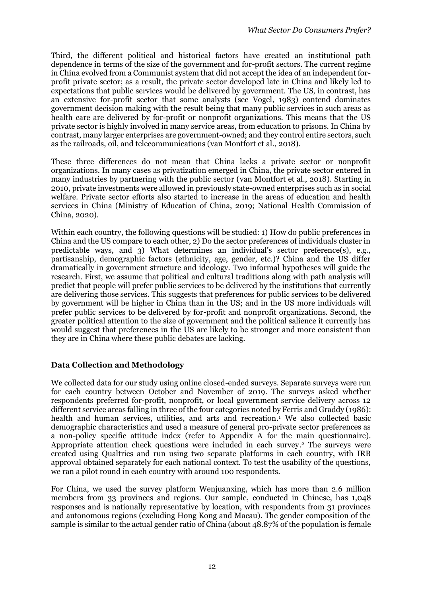Third, the different political and historical factors have created an institutional path dependence in terms of the size of the government and for-profit sectors. The current regime in China evolved from a Communist system that did not accept the idea of an independent forprofit private sector; as a result, the private sector developed late in China and likely led to expectations that public services would be delivered by government. The US, in contrast, has an extensive for-profit sector that some analysts (see Vogel, 1983) contend dominates government decision making with the result being that many public services in such areas as health care are delivered by for-profit or nonprofit organizations. This means that the US private sector is highly involved in many service areas, from education to prisons. In China by contrast, many larger enterprises are government-owned; and they control entire sectors, such as the railroads, oil, and telecommunications (van Montfort et al., 2018).

These three differences do not mean that China lacks a private sector or nonprofit organizations. In many cases as privatization emerged in China, the private sector entered in many industries by partnering with the public sector (van Montfort et al., 2018). Starting in 2010, private investments were allowed in previously state-owned enterprises such as in social welfare. Private sector efforts also started to increase in the areas of education and health services in China (Ministry of Education of China, 2019; National Health Commission of China, 2020).

Within each country, the following questions will be studied: 1) How do public preferences in China and the US compare to each other, 2) Do the sector preferences of individuals cluster in predictable ways, and 3) What determines an individual's sector preference(s), e.g., partisanship, demographic factors (ethnicity, age, gender, etc.)? China and the US differ dramatically in government structure and ideology. Two informal hypotheses will guide the research. First, we assume that political and cultural traditions along with path analysis will predict that people will prefer public services to be delivered by the institutions that currently are delivering those services. This suggests that preferences for public services to be delivered by government will be higher in China than in the US; and in the US more individuals will prefer public services to be delivered by for-profit and nonprofit organizations. Second, the greater political attention to the size of government and the political salience it currently has would suggest that preferences in the US are likely to be stronger and more consistent than they are in China where these public debates are lacking.

# **Data Collection and Methodology**

We collected data for our study using online closed-ended surveys. Separate surveys were run for each country between October and November of 2019. The surveys asked whether respondents preferred for-profit, nonprofit, or local government service delivery across 12 different service areas falling in three of the four categories noted by Ferris and Graddy (1986): health and human services, utilities, and arts and recreation. <sup>1</sup> We also collected basic demographic characteristics and used a measure of general pro-private sector preferences as a non-policy specific attitude index (refer to Appendix A for the main questionnaire). Appropriate attention check questions were included in each survey. <sup>2</sup> The surveys were created using Qualtrics and run using two separate platforms in each country, with IRB approval obtained separately for each national context. To test the usability of the questions, we ran a pilot round in each country with around 100 respondents.

For China, we used the survey platform Wenjuanxing, which has more than 2.6 million members from 33 provinces and regions. Our sample, conducted in Chinese, has 1,048 responses and is nationally representative by location, with respondents from 31 provinces and autonomous regions (excluding Hong Kong and Macau). The gender composition of the sample is similar to the actual gender ratio of China (about 48.87% of the population is female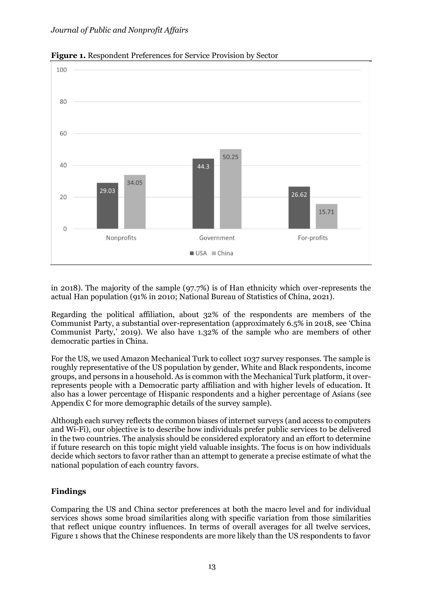

**Figure 1.** Respondent Preferences for Service Provision by Sector

in 2018). The majority of the sample (97.7%) is of Han ethnicity which over-represents the actual Han population (91% in 2010; National Bureau of Statistics of China, 2021).

Regarding the political affiliation, about 32% of the respondents are members of the Communist Party, a substantial over-representation (approximately 6.5% in 2018, see 'China Communist Party,' 2019). We also have 1.32% of the sample who are members of other democratic parties in China.

For the US, we used Amazon Mechanical Turk to collect 1037 survey responses. The sample is roughly representative of the US population by gender, White and Black respondents, income groups, and persons in a household. As is common with the Mechanical Turk platform, it overrepresents people with a Democratic party affiliation and with higher levels of education. It also has a lower percentage of Hispanic respondents and a higher percentage of Asians (see Appendix C for more demographic details of the survey sample).

Although each survey reflects the common biases of internet surveys (and access to computers and Wi-Fi), our objective is to describe how individuals prefer public services to be delivered in the two countries. The analysis should be considered exploratory and an effort to determine if future research on this topic might yield valuable insights. The focus is on how individuals decide which sectors to favor rather than an attempt to generate a precise estimate of what the national population of each country favors.

#### **Findings**

Comparing the US and China sector preferences at both the macro level and for individual services shows some broad similarities along with specific variation from those similarities that reflect unique country influences. In terms of overall averages for all twelve services, Figure 1 shows that the Chinese respondents are more likely than the US respondents to favor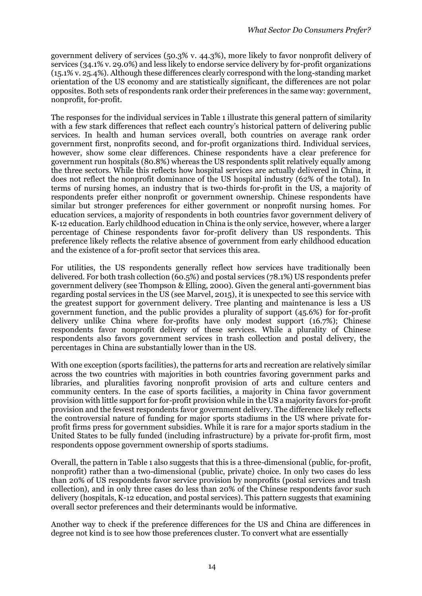government delivery of services (50.3% v. 44.3%), more likely to favor nonprofit delivery of services (34.1% v. 29.0%) and less likely to endorse service delivery by for-profit organizations (15.1% v. 25.4%). Although these differences clearly correspond with the long-standing market orientation of the US economy and are statistically significant, the differences are not polar opposites. Both sets of respondents rank order their preferences in the same way: government, nonprofit, for-profit.

The responses for the individual services in Table 1 illustrate this general pattern of similarity with a few stark differences that reflect each country's historical pattern of delivering public services. In health and human services overall, both countries on average rank order government first, nonprofits second, and for-profit organizations third. Individual services, however, show some clear differences. Chinese respondents have a clear preference for government run hospitals (80.8%) whereas the US respondents split relatively equally among the three sectors. While this reflects how hospital services are actually delivered in China, it does not reflect the nonprofit dominance of the US hospital industry (62% of the total). In terms of nursing homes, an industry that is two-thirds for-profit in the US, a majority of respondents prefer either nonprofit or government ownership. Chinese respondents have similar but stronger preferences for either government or nonprofit nursing homes. For education services, a majority of respondents in both countries favor government delivery of K-12 education. Early childhood education in China is the only service, however, where a larger percentage of Chinese respondents favor for-profit delivery than US respondents. This preference likely reflects the relative absence of government from early childhood education and the existence of a for-profit sector that services this area.

For utilities, the US respondents generally reflect how services have traditionally been delivered. For both trash collection (60.5%) and postal services (78.1%) US respondents prefer government delivery (see Thompson & Elling, 2000). Given the general anti-government bias regarding postal services in the US (see Marvel, 2015), it is unexpected to see this service with the greatest support for government delivery. Tree planting and maintenance is less a US government function, and the public provides a plurality of support (45.6%) for for-profit delivery unlike China where for-profits have only modest support (16.7%); Chinese respondents favor nonprofit delivery of these services. While a plurality of Chinese respondents also favors government services in trash collection and postal delivery, the percentages in China are substantially lower than in the US.

With one exception (sports facilities), the patterns for arts and recreation are relatively similar across the two countries with majorities in both countries favoring government parks and libraries, and pluralities favoring nonprofit provision of arts and culture centers and community centers. In the case of sports facilities, a majority in China favor government provision with little support for for-profit provision while in the US a majority favors for-profit provision and the fewest respondents favor government delivery. The difference likely reflects the controversial nature of funding for major sports stadiums in the US where private forprofit firms press for government subsidies. While it is rare for a major sports stadium in the United States to be fully funded (including infrastructure) by a private for-profit firm, most respondents oppose government ownership of sports stadiums.

Overall, the pattern in Table 1 also suggests that this is a three-dimensional (public, for-profit, nonprofit) rather than a two-dimensional (public, private) choice. In only two cases do less than 20% of US respondents favor service provision by nonprofits (postal services and trash collection), and in only three cases do less than 20% of the Chinese respondents favor such delivery (hospitals, K-12 education, and postal services). This pattern suggests that examining overall sector preferences and their determinants would be informative.

Another way to check if the preference differences for the US and China are differences in degree not kind is to see how those preferences cluster. To convert what are essentially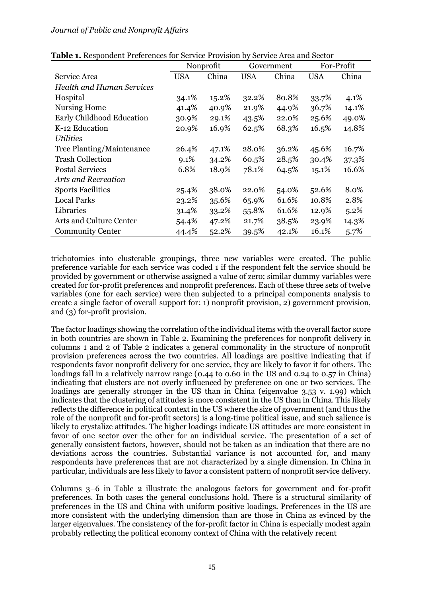| $\mathbf{R}$ is recopondent freightered for Service from $\mathbf{S}_f$ | Nonprofit  |       | Government |       | For-Profit |         |
|-------------------------------------------------------------------------|------------|-------|------------|-------|------------|---------|
| Service Area                                                            | <b>USA</b> | China | <b>USA</b> | China | <b>USA</b> | China   |
| <b>Health and Human Services</b>                                        |            |       |            |       |            |         |
| Hospital                                                                | 34.1%      | 15.2% | 32.2%      | 80.8% | 33.7%      | 4.1%    |
| <b>Nursing Home</b>                                                     | 41.4%      | 40.9% | 21.9%      | 44.9% | 36.7%      | 14.1%   |
| Early Childhood Education                                               | 30.9%      | 29.1% | 43.5%      | 22.0% | 25.6%      | 49.0%   |
| K-12 Education                                                          | 20.9%      | 16.9% | 62.5%      | 68.3% | 16.5%      | 14.8%   |
| <b>Utilities</b>                                                        |            |       |            |       |            |         |
| Tree Planting/Maintenance                                               | 26.4%      | 47.1% | 28.0%      | 36.2% | 45.6%      | 16.7%   |
| <b>Trash Collection</b>                                                 | $9.1\%$    | 34.2% | 60.5%      | 28.5% | 30.4%      | 37.3%   |
| <b>Postal Services</b>                                                  | 6.8%       | 18.9% | 78.1%      | 64.5% | 15.1%      | 16.6%   |
| Arts and Recreation                                                     |            |       |            |       |            |         |
| <b>Sports Facilities</b>                                                | 25.4%      | 38.0% | 22.0%      | 54.0% | 52.6%      | 8.0%    |
| <b>Local Parks</b>                                                      | 23.2%      | 35.6% | 65.9%      | 61.6% | 10.8%      | 2.8%    |
| Libraries                                                               | 31.4%      | 33.2% | 55.8%      | 61.6% | 12.9%      | $5.2\%$ |
| Arts and Culture Center                                                 | 54.4%      | 47.2% | 21.7%      | 38.5% | 23.9%      | 14.3%   |
| <b>Community Center</b>                                                 | 44.4%      | 52.2% | 39.5%      | 42.1% | 16.1%      | 5.7%    |

**Table 1.** Respondent Preferences for Service Provision by Service Area and Sector

trichotomies into clusterable groupings, three new variables were created. The public preference variable for each service was coded 1 if the respondent felt the service should be provided by government or otherwise assigned a value of zero; similar dummy variables were created for for-profit preferences and nonprofit preferences. Each of these three sets of twelve variables (one for each service) were then subjected to a principal components analysis to create a single factor of overall support for: 1) nonprofit provision, 2) government provision, and (3) for-profit provision.

The factor loadings showing the correlation of the individual items with the overall factor score in both countries are shown in Table 2. Examining the preferences for nonprofit delivery in columns 1 and 2 of Table 2 indicates a general commonality in the structure of nonprofit provision preferences across the two countries. All loadings are positive indicating that if respondents favor nonprofit delivery for one service, they are likely to favor it for others. The loadings fall in a relatively narrow range (0.44 to 0.60 in the US and 0.24 to 0.57 in China) indicating that clusters are not overly influenced by preference on one or two services. The loadings are generally stronger in the US than in China (eigenvalue 3.53 v. 1.99) which indicates that the clustering of attitudes is more consistent in the US than in China. This likely reflects the difference in political context in the US where the size of government (and thus the role of the nonprofit and for-profit sectors) is a long-time political issue, and such salience is likely to crystalize attitudes. The higher loadings indicate US attitudes are more consistent in favor of one sector over the other for an individual service. The presentation of a set of generally consistent factors, however, should not be taken as an indication that there are no deviations across the countries. Substantial variance is not accounted for, and many respondents have preferences that are not characterized by a single dimension. In China in particular, individuals are less likely to favor a consistent pattern of nonprofit service delivery.

Columns 3–6 in Table 2 illustrate the analogous factors for government and for-profit preferences. In both cases the general conclusions hold. There is a structural similarity of preferences in the US and China with uniform positive loadings. Preferences in the US are more consistent with the underlying dimension than are those in China as evinced by the larger eigenvalues. The consistency of the for-profit factor in China is especially modest again probably reflecting the political economy context of China with the relatively recent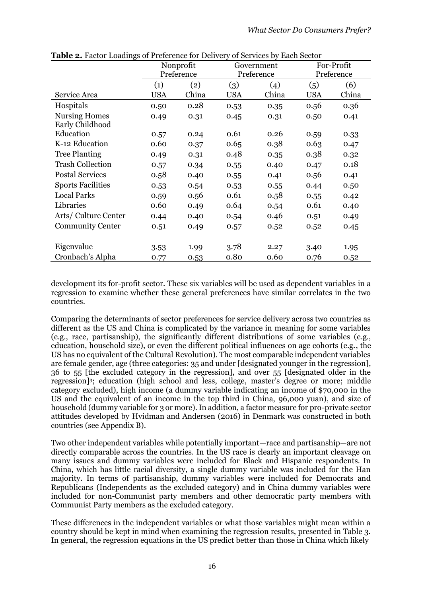|                                         |            | Nonprofit  |            | Government |            | For-Profit |
|-----------------------------------------|------------|------------|------------|------------|------------|------------|
|                                         |            | Preference | Preference |            | Preference |            |
|                                         | (1)        | (2)        | (3)        | (4)        | (5)        | (6)        |
| Service Area                            | <b>USA</b> | China      | <b>USA</b> | China      | <b>USA</b> | China      |
| Hospitals                               | 0.50       | 0.28       | 0.53       | 0.35       | 0.56       | 0.36       |
| <b>Nursing Homes</b><br>Early Childhood | 0.49       | 0.31       | 0.45       | 0.31       | 0.50       | 0.41       |
| Education                               | 0.57       | 0.24       | 0.61       | 0.26       | 0.59       | 0.33       |
| K-12 Education                          | 0.60       | 0.37       | 0.65       | 0.38       | 0.63       | 0.47       |
| <b>Tree Planting</b>                    | 0.49       | 0.31       | 0.48       | 0.35       | 0.38       | 0.32       |
| <b>Trash Collection</b>                 | 0.57       | 0.34       | 0.55       | 0.40       | 0.47       | 0.18       |
| <b>Postal Services</b>                  | 0.58       | 0.40       | 0.55       | 0.41       | 0.56       | 0.41       |
| <b>Sports Facilities</b>                | 0.53       | 0.54       | 0.53       | 0.55       | 0.44       | 0.50       |
| <b>Local Parks</b>                      | 0.59       | 0.56       | 0.61       | 0.58       | 0.55       | 0.42       |
| Libraries                               | 0.60       | 0.49       | 0.64       | 0.54       | 0.61       | 0.40       |
| Arts/ Culture Center                    | 0.44       | 0.40       | 0.54       | 0.46       | 0.51       | 0.49       |
| <b>Community Center</b>                 | 0.51       | 0.49       | 0.57       | 0.52       | 0.52       | 0.45       |
| Eigenvalue                              | 3.53       | 1.99       | 3.78       | 2.27       | 3.40       | 1.95       |
| Cronbach's Alpha                        | 0.77       | 0.53       | 0.80       | 0.60       | 0.76       | 0.52       |

**Table 2.** Factor Loadings of Preference for Delivery of Services by Each Sector

development its for-profit sector. These six variables will be used as dependent variables in a regression to examine whether these general preferences have similar correlates in the two countries.

Comparing the determinants of sector preferences for service delivery across two countries as different as the US and China is complicated by the variance in meaning for some variables (e.g., race, partisanship), the significantly different distributions of some variables (e.g., education, household size), or even the different political influences on age cohorts (e.g., the US has no equivalent of the Cultural Revolution). The most comparable independent variables are female gender, age (three categories: 35 and under [designated younger in the regression], 36 to 55 [the excluded category in the regression], and over 55 [designated older in the regression]<sup>3</sup> ; education (high school and less, college, master's degree or more; middle category excluded), high income (a dummy variable indicating an income of \$70,000 in the US and the equivalent of an income in the top third in China, 96,000 yuan), and size of household (dummy variable for 3 or more). In addition, a factor measure for pro-private sector attitudes developed by Hvidman and Andersen (2016) in Denmark was constructed in both countries (see Appendix B).

Two other independent variables while potentially important—race and partisanship—are not directly comparable across the countries. In the US race is clearly an important cleavage on many issues and dummy variables were included for Black and Hispanic respondents. In China, which has little racial diversity, a single dummy variable was included for the Han majority. In terms of partisanship, dummy variables were included for Democrats and Republicans (Independents as the excluded category) and in China dummy variables were included for non-Communist party members and other democratic party members with Communist Party members as the excluded category.

These differences in the independent variables or what those variables might mean within a country should be kept in mind when examining the regression results, presented in Table 3. In general, the regression equations in the US predict better than those in China which likely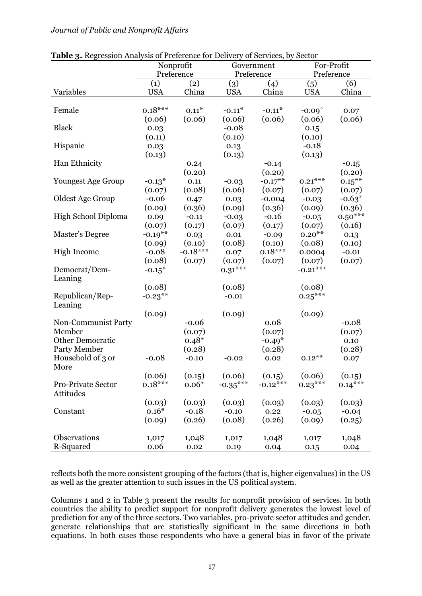| <b>Table 3.</b> Regression Analysis of Preference for Delivery of Services, by Sector |            |            |            |            |                           |                |
|---------------------------------------------------------------------------------------|------------|------------|------------|------------|---------------------------|----------------|
|                                                                                       | Nonprofit  |            | Government |            | For-Profit                |                |
|                                                                                       |            | Preference | Preference |            | Preference                |                |
|                                                                                       | (1)        | (2)        | (3)        | (4)        | (5)                       | (6)            |
| Variables                                                                             | <b>USA</b> | China      | <b>USA</b> | China      | <b>USA</b>                | China          |
| Female                                                                                | $0.18***$  | $0.11*$    | $-0.11*$   | $-0.11*$   |                           |                |
|                                                                                       | (0.06)     | (0.06)     | (0.06)     | (0.06)     | $-0.09^{\circ}$<br>(0.06) | 0.07<br>(0.06) |
| <b>Black</b>                                                                          | 0.03       |            | $-0.08$    |            | 0.15                      |                |
|                                                                                       | (0.11)     |            | (0.10)     |            | (0.10)                    |                |
| Hispanic                                                                              | 0.03       |            | 0.13       |            | $-0.18$                   |                |
|                                                                                       | (0.13)     |            | (0.13)     |            | (0.13)                    |                |
| Han Ethnicity                                                                         |            | 0.24       |            | $-0.14$    |                           | $-0.15$        |
|                                                                                       |            | (0.20)     |            | (0.20)     |                           | (0.20)         |
| <b>Youngest Age Group</b>                                                             | $-0.13*$   | 0.11       | $-0.03$    | $-0.17***$ | $0.21***$                 | $0.15***$      |
|                                                                                       | (0.07)     | (0.08)     | (0.06)     | (0.07)     | (0.07)                    | (0.07)         |
| Oldest Age Group                                                                      | $-0.06$    | 0.47       | 0.03       | $-0.004$   | $-0.03$                   | $-0.63*$       |
|                                                                                       | (0.09)     | (0.36)     | (0.09)     | (0.36)     | (0.09)                    | (0.36)         |
| High School Diploma                                                                   | 0.09       | $-0.11$    | $-0.03$    | $-0.16$    | $-0.05$                   | $0.50***$      |
|                                                                                       | (0.07)     | (0.17)     | (0.07)     | (0.17)     | (0.07)                    | (0.16)         |
| Master's Degree                                                                       | $-0.19***$ | 0.03       | 0.01       | $-0.09$    | $0.20***$                 | 0.13           |
|                                                                                       | (0.09)     | (0.10)     | (0.08)     | (0.10)     | (0.08)                    | (0.10)         |
| High Income                                                                           | $-0.08$    | $-0.18***$ | 0.07       | $0.18***$  | 0.0004                    | $-0.01$        |
|                                                                                       | (0.08)     | (0.07)     | (0.07)     | (0.07)     | (0.07)                    | (0.07)         |
| Democrat/Dem-                                                                         | $-0.15*$   |            | $0.31***$  |            | $-0.21***$                |                |
| Leaning                                                                               |            |            |            |            |                           |                |
|                                                                                       | (0.08)     |            | (0.08)     |            | (0.08)                    |                |
| Republican/Rep-                                                                       | $-0.23***$ |            | $-0.01$    |            | $0.25***$                 |                |
| Leaning                                                                               |            |            |            |            |                           |                |
|                                                                                       | (0.09)     |            | (0.09)     |            | (0.09)                    |                |
| Non-Communist Party                                                                   |            | $-0.06$    |            | 0.08       |                           | $-0.08$        |
| Member                                                                                |            | (0.07)     |            | (0.07)     |                           | (0.07)         |
| Other Democratic                                                                      |            | $0.48*$    |            | $-0.49*$   |                           | 0.10           |
| Party Member                                                                          |            | (0.28)     |            | (0.28)     |                           | (0.28)         |
| Household of 3 or                                                                     | $-0.08$    | $-0.10$    | $-0.02$    | 0.02       | $0.12***$                 | 0.07           |
| More                                                                                  |            |            |            |            |                           |                |
|                                                                                       | (0.06)     | (0.15)     | (0.06)     | (0.15)     | (0.06)                    | (0.15)         |
| Pro-Private Sector                                                                    | $0.18***$  | $0.06*$    | $-0.35***$ | $-0.12***$ | $0.23***$                 | $0.14***$      |
| Attitudes                                                                             |            |            |            |            |                           |                |
|                                                                                       | (0.03)     | (0.03)     | (0.03)     | (0.03)     | (0.03)                    | (0.03)         |
| Constant                                                                              | $0.16*$    | $-0.18$    | $-0.10$    | 0.22       | $-0.05$                   | $-0.04$        |
|                                                                                       | (0.09)     | (0.26)     | (0.08)     | (0.26)     | (0.09)                    | (0.25)         |
|                                                                                       |            |            |            |            |                           |                |
| Observations                                                                          | 1,017      | 1,048      | 1,017      | 1,048      | 1,017                     | 1,048          |
| R-Squared                                                                             | 0.06       | 0.02       | 0.19       | 0.04       | 0.15                      | 0.04           |

**Table 3.** Regression Analysis of Preference for Delivery of Services, by Sector

reflects both the more consistent grouping of the factors (that is, higher eigenvalues) in the US as well as the greater attention to such issues in the US political system.

Columns 1 and 2 in Table 3 present the results for nonprofit provision of services. In both countries the ability to predict support for nonprofit delivery generates the lowest level of prediction for any of the three sectors. Two variables, pro-private sector attitudes and gender, generate relationships that are statistically significant in the same directions in both equations. In both cases those respondents who have a general bias in favor of the private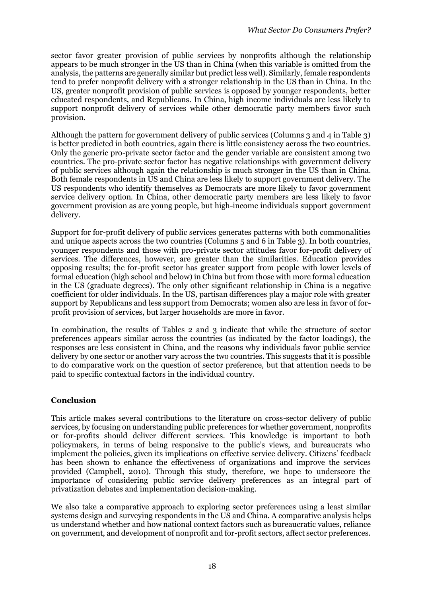sector favor greater provision of public services by nonprofits although the relationship appears to be much stronger in the US than in China (when this variable is omitted from the analysis, the patterns are generally similar but predict less well). Similarly, female respondents tend to prefer nonprofit delivery with a stronger relationship in the US than in China. In the US, greater nonprofit provision of public services is opposed by younger respondents, better educated respondents, and Republicans. In China, high income individuals are less likely to support nonprofit delivery of services while other democratic party members favor such provision.

Although the pattern for government delivery of public services (Columns 3 and 4 in Table 3) is better predicted in both countries, again there is little consistency across the two countries. Only the generic pro-private sector factor and the gender variable are consistent among two countries. The pro-private sector factor has negative relationships with government delivery of public services although again the relationship is much stronger in the US than in China. Both female respondents in US and China are less likely to support government delivery. The US respondents who identify themselves as Democrats are more likely to favor government service delivery option. In China, other democratic party members are less likely to favor government provision as are young people, but high-income individuals support government delivery.

Support for for-profit delivery of public services generates patterns with both commonalities and unique aspects across the two countries (Columns 5 and 6 in Table 3). In both countries, younger respondents and those with pro-private sector attitudes favor for-profit delivery of services. The differences, however, are greater than the similarities. Education provides opposing results; the for-profit sector has greater support from people with lower levels of formal education (high school and below) in China but from those with more formal education in the US (graduate degrees). The only other significant relationship in China is a negative coefficient for older individuals. In the US, partisan differences play a major role with greater support by Republicans and less support from Democrats; women also are less in favor of forprofit provision of services, but larger households are more in favor.

In combination, the results of Tables 2 and 3 indicate that while the structure of sector preferences appears similar across the countries (as indicated by the factor loadings), the responses are less consistent in China, and the reasons why individuals favor public service delivery by one sector or another vary across the two countries. This suggests that it is possible to do comparative work on the question of sector preference, but that attention needs to be paid to specific contextual factors in the individual country.

#### **Conclusion**

This article makes several contributions to the literature on cross-sector delivery of public services, by focusing on understanding public preferences for whether government, nonprofits or for-profits should deliver different services. This knowledge is important to both policymakers, in terms of being responsive to the public's views, and bureaucrats who implement the policies, given its implications on effective service delivery. Citizens' feedback has been shown to enhance the effectiveness of organizations and improve the services provided (Campbell, 2010). Through this study, therefore, we hope to underscore the importance of considering public service delivery preferences as an integral part of privatization debates and implementation decision-making.

We also take a comparative approach to exploring sector preferences using a least similar systems design and surveying respondents in the US and China. A comparative analysis helps us understand whether and how national context factors such as bureaucratic values, reliance on government, and development of nonprofit and for-profit sectors, affect sector preferences.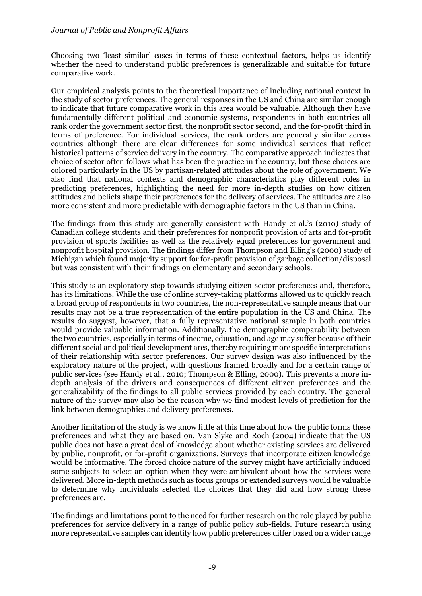Choosing two 'least similar' cases in terms of these contextual factors, helps us identify whether the need to understand public preferences is generalizable and suitable for future comparative work.

Our empirical analysis points to the theoretical importance of including national context in the study of sector preferences. The general responses in the US and China are similar enough to indicate that future comparative work in this area would be valuable. Although they have fundamentally different political and economic systems, respondents in both countries all rank order the government sector first, the nonprofit sector second, and the for-profit third in terms of preference. For individual services, the rank orders are generally similar across countries although there are clear differences for some individual services that reflect historical patterns of service delivery in the country. The comparative approach indicates that choice of sector often follows what has been the practice in the country, but these choices are colored particularly in the US by partisan-related attitudes about the role of government. We also find that national contexts and demographic characteristics play different roles in predicting preferences, highlighting the need for more in-depth studies on how citizen attitudes and beliefs shape their preferences for the delivery of services. The attitudes are also more consistent and more predictable with demographic factors in the US than in China.

The findings from this study are generally consistent with Handy et al.'s (2010) study of Canadian college students and their preferences for nonprofit provision of arts and for-profit provision of sports facilities as well as the relatively equal preferences for government and nonprofit hospital provision. The findings differ from Thompson and Elling's (2000) study of Michigan which found majority support for for-profit provision of garbage collection/disposal but was consistent with their findings on elementary and secondary schools.

This study is an exploratory step towards studying citizen sector preferences and, therefore, has its limitations. While the use of online survey-taking platforms allowed us to quickly reach a broad group of respondents in two countries, the non-representative sample means that our results may not be a true representation of the entire population in the US and China. The results do suggest, however, that a fully representative national sample in both countries would provide valuable information. Additionally, the demographic comparability between the two countries, especially in terms of income, education, and age may suffer because of their different social and political development arcs, thereby requiring more specific interpretations of their relationship with sector preferences. Our survey design was also influenced by the exploratory nature of the project, with questions framed broadly and for a certain range of public services (see Handy et al., 2010; Thompson & Elling, 2000). This prevents a more indepth analysis of the drivers and consequences of different citizen preferences and the generalizability of the findings to all public services provided by each country. The general nature of the survey may also be the reason why we find modest levels of prediction for the link between demographics and delivery preferences.

Another limitation of the study is we know little at this time about how the public forms these preferences and what they are based on. Van Slyke and Roch (2004) indicate that the US public does not have a great deal of knowledge about whether existing services are delivered by public, nonprofit, or for-profit organizations. Surveys that incorporate citizen knowledge would be informative. The forced choice nature of the survey might have artificially induced some subjects to select an option when they were ambivalent about how the services were delivered. More in-depth methods such as focus groups or extended surveys would be valuable to determine why individuals selected the choices that they did and how strong these preferences are.

The findings and limitations point to the need for further research on the role played by public preferences for service delivery in a range of public policy sub-fields. Future research using more representative samples can identify how public preferences differ based on a wider range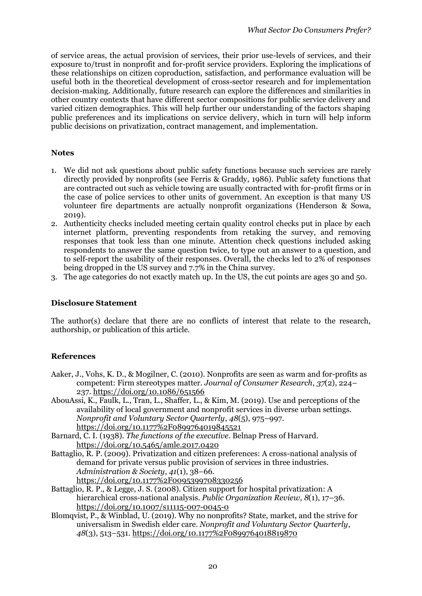of service areas, the actual provision of services, their prior use-levels of services, and their exposure to/trust in nonprofit and for-profit service providers. Exploring the implications of these relationships on citizen coproduction, satisfaction, and performance evaluation will be useful both in the theoretical development of cross-sector research and for implementation decision-making. Additionally, future research can explore the differences and similarities in other country contexts that have different sector compositions for public service delivery and varied citizen demographics. This will help further our understanding of the factors shaping public preferences and its implications on service delivery, which in turn will help inform public decisions on privatization, contract management, and implementation.

#### **Notes**

- 1. We did not ask questions about public safety functions because such services are rarely directly provided by nonprofits (see Ferris & Graddy, 1986). Public safety functions that are contracted out such as vehicle towing are usually contracted with for-profit firms or in the case of police services to other units of government. An exception is that many US volunteer fire departments are actually nonprofit organizations (Henderson & Sowa,  $2019$ ).
- 2. Authenticity checks included meeting certain quality control checks put in place by each internet platform, preventing respondents from retaking the survey, and removing responses that took less than one minute. Attention check questions included asking respondents to answer the same question twice, to type out an answer to a question, and to self-report the usability of their responses. Overall, the checks led to 2% of responses being dropped in the US survey and 7.7% in the China survey.
- 3. The age categories do not exactly match up. In the US, the cut points are ages 30 and 50.

#### **Disclosure Statement**

The author(s) declare that there are no conflicts of interest that relate to the research, authorship, or publication of this article.

#### **References**

- Aaker, J., Vohs, K. D., & Mogilner, C. (2010). Nonprofits are seen as warm and for-profits as competent: Firm stereotypes matter. *Journal of Consumer Research*, *37*(2), 224– 237. https://doi.org/10.1086/651566
- AbouAssi, K., Faulk, L., Tran, L., Shaffer, L., & Kim, M. (2019). Use and perceptions of the availability of local government and nonprofit services in diverse urban settings. *Nonprofit and Voluntary Sector Quarterly*, *48*(5), 975–997. https://doi.org/10.1177%2F0899764019845521
- Barnard, C. I. (1938). *The functions of the executive*. Belnap Press of Harvard. <https://doi.org/10.5465/amle.2017.0420>
- Battaglio, R. P. (2009). Privatization and citizen preferences: A cross-national analysis of demand for private versus public provision of services in three industries. *Administration & Society*, *41*(1), 38–66. https://doi.org/10.1177%2F0095399708330256
- Battaglio, R. P., & Legge, J. S. (2008). Citizen support for hospital privatization: A hierarchical cross-national analysis. *Public Organization Review*, *8*(1), 17–36. https://doi.org/10.1007/s11115-007-0045-0
- Blomqvist, P., & Winblad, U. (2019). Why no nonprofits? State, market, and the strive for universalism in Swedish elder care. *Nonprofit and Voluntary Sector Quarterly*, *48*(3), 513–531. https://doi.org/10.1177%2F0899764018819870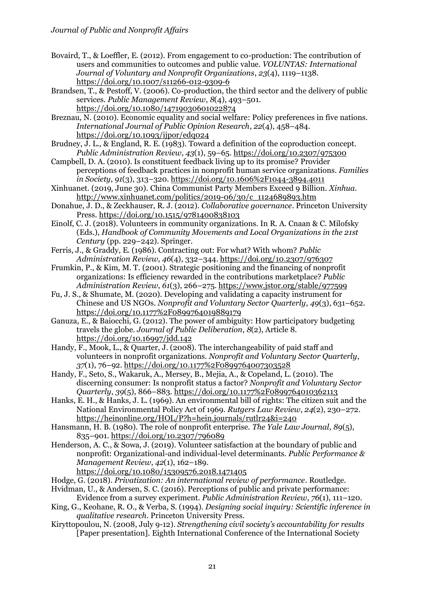- Bovaird, T., & Loeffler, E. (2012). From engagement to co-production: The contribution of users and communities to outcomes and public value. *VOLUNTAS: International Journal of Voluntary and Nonprofit Organizations*, *23*(4), 1119–1138. https://doi.org/10.1007/s11266-012-9309-6
- Brandsen, T., & Pestoff, V. (2006). Co-production, the third sector and the delivery of public services. *Public Management Review*, *8*(4), 493–501. https://doi.org/10.1080/14719030601022874
- Breznau, N. (2010). Economic equality and social welfare: Policy preferences in five nations. *International Journal of Public Opinion Research*, *22*(4), 458–484. https://doi.org/10.1093/ijpor/edq024
- Brudney, J. L., & England, R. E. (1983). Toward a definition of the coproduction concept. *Public Administration Review*, *43*(1), 59–65. https://doi.org/10.2307/975300
- Campbell, D. A. (2010). Is constituent feedback living up to its promise? Provider perceptions of feedback practices in nonprofit human service organizations. *Families in Society*, *91*(3), 313–320. https://doi.org/10.1606%2F1044-3894.4011
- Xinhuanet. (2019, June 30). China Communist Party Members Exceed 9 Billion. *Xinhua*. http://www.xinhuanet.com/politics/2019-06/30/c\_1124689893.htm
- Donahue, J. D., & Zeckhauser, R. J. (2012). *Collaborative governance*. Princeton University Press. <https://doi.org/10.1515/9781400838103>
- Einolf, C. J. (2018). Volunteers in community organizations. In R. A. Cnaan & C. Milofsky (Eds.), *Handbook of Community Movements and Local Organizations in the 21st Century* (pp. 229–242). Springer.
- Ferris, J., & Graddy, E. (1986). Contracting out: For what? With whom? *Public Administration Review*, *46*(4), 332–344. https://doi.org/10.2307/976307
- Frumkin, P., & Kim, M. T. (2001). Strategic positioning and the financing of nonprofit organizations: Is efficiency rewarded in the contributions marketplace? *Public Administration Review*, *61*(3), 266–275. https://www.jstor.org/stable/977599
- Fu, J. S., & Shumate, M. (2020). Developing and validating a capacity instrument for Chinese and US NGOs. *Nonprofit and Voluntary Sector Quarterly*, *49*(3), 631–652. https://doi.org/10.1177%2F0899764019889179
- Ganuza, E., & Baiocchi, G. (2012). The power of ambiguity: How participatory budgeting travels the globe. *Journal of Public Deliberation*, *8*(2), Article 8. https://doi.org/10.16997/jdd.142
- Handy, F., Mook, L., & Quarter, J. (2008). The interchangeability of paid staff and volunteers in nonprofit organizations. *Nonprofit and Voluntary Sector Quarterly*, *37*(1), 76–92. https://doi.org/10.1177%2F0899764007303528
- Handy, F., Seto, S., Wakaruk, A., Mersey, B., Mejia, A., & Copeland, L. (2010). The discerning consumer: Is nonprofit status a factor? *Nonprofit and Voluntary Sector Quarterly*, *39*(5), 866–883. https://doi.org/10.1177%2F0899764010362113
- Hanks, E. H., & Hanks, J. L. (1969). An environmental bill of rights: The citizen suit and the National Environmental Policy Act of 1969. *Rutgers Law Review*, *24*(2), 230–272. https://heinonline.org/HOL/P?h=hein.journals/rutlr24&i=240
- Hansmann, H. B. (1980). The role of nonprofit enterprise. *The Yale Law Journal*, *89*(5), 835–901. https://doi.org/10.2307/796089
- Henderson, A. C., & Sowa, J. (2019). Volunteer satisfaction at the boundary of public and nonprofit: Organizational-and individual-level determinants. *Public Performance & Management Review*, *42*(1), 162–189.
	- https://doi.org/10.1080/15309576.2018.1471405
- Hodge, G. (2018). *Privatization: An international review of performance*. Routledge.
- Hvidman, U., & Andersen, S. C. (2016). Perceptions of public and private performance: Evidence from a survey experiment. *Public Administration Review*, *76*(1), 111–120.
- King, G., Keohane, R. O., & Verba, S. (1994). *Designing social inquiry: Scientific inference in qualitative research*. Princeton University Press.
- Kiryttopoulou, N. (2008, July 9-12). *Strengthening civil society's accountability for results* [Paper presentation]. Eighth International Conference of the International Society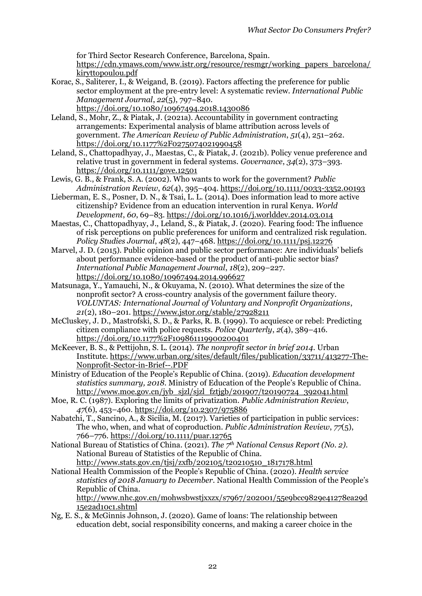for Third Sector Research Conference, Barcelona, Spain.

[https://cdn.ymaws.com/www.istr.org/resource/resmgr/working\\_papers\\_barcelona/](https://cdn.ymaws.com/www.istr.org/resource/resmgr/working_papers_barcelona/kiryttopoulou.pdf) [kiryttopoulou.pdf](https://cdn.ymaws.com/www.istr.org/resource/resmgr/working_papers_barcelona/kiryttopoulou.pdf)

- Korac, S., Saliterer, I., & Weigand, B. (2019). Factors affecting the preference for public sector employment at the pre-entry level: A systematic review. *International Public Management Journal*, *22*(5), 797–840. https://doi.org/10.1080/10967494.2018.1430086
- Leland, S., Mohr, Z., & Piatak, J. (2021a). Accountability in government contracting arrangements: Experimental analysis of blame attribution across levels of government. *The American Review of Public Administration*, *51*(4), 251–262. https://doi.org/10.1177%2F0275074021990458
- Leland, S., Chattopadhyay, J., Maestas, C., & Piatak, J. (2021b). Policy venue preference and relative trust in government in federal systems. *Governance*, *34*(2), 373–393. https://doi.org/10.1111/gove.12501
- Lewis, G. B., & Frank, S. A. (2002). Who wants to work for the government? *Public Administration Review*, *62*(4), 395–404. https://doi.org/10.1111/0033-3352.00193
- Lieberman, E. S., Posner, D. N., & Tsai, L. L. (2014). Does information lead to more active citizenship? Evidence from an education intervention in rural Kenya. *World Development*, *60*, 69–83. https://doi.org/10.1016/j.worlddev.2014.03.014
- Maestas, C., Chattopadhyay, J., Leland, S., & Piatak, J. (2020). Fearing food: The influence of risk perceptions on public preferences for uniform and centralized risk regulation. *Policy Studies Journal*, *48*(2), 447–468. https://doi.org/10.1111/psj.12276
- Marvel, J. D. (2015). Public opinion and public sector performance: Are individuals' beliefs about performance evidence-based or the product of anti-public sector bias? *International Public Management Journal*, *18*(2), 209–227. https://doi.org/10.1080/10967494.2014.996627
- Matsunaga, Y., Yamauchi, N., & Okuyama, N. (2010). What determines the size of the nonprofit sector? A cross-country analysis of the government failure theory. *VOLUNTAS: International Journal of Voluntary and Nonprofit Organizations*, *21*(2), 180–201. https://www.jstor.org/stable/27928211
- McCluskey, J. D., Mastrofski, S. D., & Parks, R. B. (1999). To acquiesce or rebel: Predicting citizen compliance with police requests. *Police Quarterly*, *2*(4), 389–416. https://doi.org/10.1177%2F109861119900200401
- McKeever, B. S., & Pettijohn, S. L. (2014). *The nonprofit sector in brief 2014*. Urban Institute. https://www.urban.org/sites/default/files/publication/33711/413277-The-Nonprofit-Sector-in-Brief--.PDF
- Ministry of Education of the People's Republic of China. (2019). *Education development statistics summary, 2018*. Ministry of Education of the People's Republic of China. http://www.moe.gov.cn/jyb\_sjzl/sjzl\_fztjgb/201907/t20190724\_392041.html
- Moe, R. C. (1987). Exploring the limits of privatization. *Public Administration Review*, *47*(6), 453–460. https://doi.org/10.2307/975886
- Nabatchi, T., Sancino, A., & Sicilia, M. (2017). Varieties of participation in public services: The who, when, and what of coproduction. *Public Administration Review*, *77*(5), 766–776. https://doi.org/10.1111/puar.12765
- National Bureau of Statistics of China. (2021). *The 7th National Census Report (No. 2).*  National Bureau of Statistics of the Republic of China. [http://www.stats.gov.cn/tjsj/zxfb/202105/t20210510\\_1817178.html](http://www.stats.gov.cn/tjsj/zxfb/202105/t20210510_1817178.html)
- National Health Commission of the People's Republic of China. (2020). *Health service statistics of 2018 January to December*. National Health Commission of the People's Republic of China.

http://www.nhc.gov.cn/mohwsbwstjxxzx/s7967/202001/55e9bcc9829e41278ea29d 15e2ad10c1.shtml

Ng, E. S., & McGinnis Johnson, J. (2020). Game of loans: The relationship between education debt, social responsibility concerns, and making a career choice in the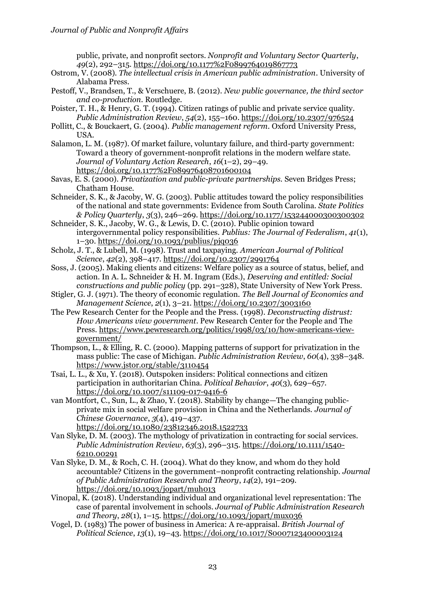public, private, and nonprofit sectors. *Nonprofit and Voluntary Sector Quarterly*, *49*(2), 292–315. https://doi.org/10.1177%2F0899764019867773

- Ostrom, V. (2008). *The intellectual crisis in American public administration*. University of Alabama Press.
- Pestoff, V., Brandsen, T., & Verschuere, B. (2012). *New public governance, the third sector and co-production*. Routledge.
- Poister, T. H., & Henry, G. T. (1994). Citizen ratings of public and private service quality. *Public Administration Review*, *54*(2), 155–160. https://doi.org/10.2307/976524
- Pollitt, C., & Bouckaert, G. (2004). *Public management reform*. Oxford University Press, USA.
- Salamon, L. M. (1987). Of market failure, voluntary failure, and third-party government: Toward a theory of government-nonprofit relations in the modern welfare state. *Journal of Voluntary Action Research*, *16*(1–2), 29–49. https://doi.org/10.1177%2F089976408701600104
- Savas, E. S. (2000). *Privatization and public-private partnerships.* Seven Bridges Press; Chatham House.
- Schneider, S. K., & Jacoby, W. G. (2003). Public attitudes toward the policy responsibilities of the national and state governments: Evidence from South Carolina. *State Politics & Policy Quarterly*, *3*(3), 246–269. https://doi.org/10.1177/153244000300300302
- Schneider, S. K., Jacoby, W. G., & Lewis, D. C. (2010). Public opinion toward intergovernmental policy responsibilities. *Publius: The Journal of Federalism*, *41*(1), 1–30. https://doi.org/10.1093/publius/pjq036
- Scholz, J. T., & Lubell, M. (1998). Trust and taxpaying. *American Journal of Political Science*, *42*(2), 398–417. https://doi.org/10.2307/2991764
- Soss, J. (2005). Making clients and citizens: Welfare policy as a source of status, belief, and action. In A. L. Schneider & H. M. Ingram (Eds.), *Deserving and entitled: Social constructions and public policy* (pp. 291–328), State University of New York Press.
- Stigler, G. J. (1971). The theory of economic regulation. *The Bell Journal of Economics and Management Science*, *2*(1), 3–21. https://doi.org/10.2307/3003160
- The Pew Research Center for the People and the Press. (1998). *Deconstructing distrust: How Americans view government*. Pew Research Center for the People and The Press. https://www.pewresearch.org/politics/1998/03/10/how-americans-viewgovernment/
- Thompson, L., & Elling, R. C. (2000). Mapping patterns of support for privatization in the mass public: The case of Michigan. *Public Administration Review*, *60*(4), 338–348. https://www.jstor.org/stable/3110454
- Tsai, L. L., & Xu, Y. (2018). Outspoken insiders: Political connections and citizen participation in authoritarian China. *Political Behavior*, *40*(3), 629–657. https://doi.org/10.1007/s11109-017-9416-6
- van Montfort, C., Sun, L., & Zhao, Y. (2018). Stability by change—The changing publicprivate mix in social welfare provision in China and the Netherlands. *Journal of Chinese Governance*, *3*(4), 419–437.

```
https://doi.org/10.1080/23812346.2018.1522733
```
- Van Slyke, D. M. (2003). The mythology of privatization in contracting for social services. *Public Administration Review*, *63*(3), 296–315. https://doi.org/10.1111/1540- 6210.00291
- Van Slyke, D. M., & Roch, C. H. (2004). What do they know, and whom do they hold accountable? Citizens in the government–nonprofit contracting relationship. *Journal of Public Administration Research and Theory*, *14*(2), 191–209. https://doi.org/10.1093/jopart/muh013
- Vinopal, K. (2018). Understanding individual and organizational level representation: The case of parental involvement in schools. *Journal of Public Administration Research and Theory*, *28*(1), 1–15. https://doi.org/10.1093/jopart/mux036
- Vogel, D. (1983) The power of business in America: A re-appraisal. *British Journal of Political Science*, *13*(1), 19–43. https://doi.org/10.1017/S0007123400003124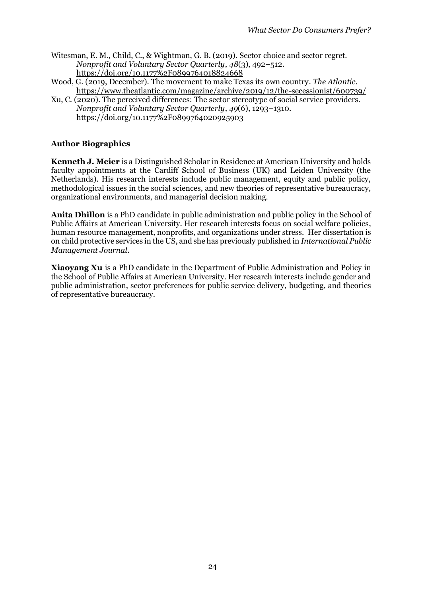- Witesman, E. M., Child, C., & Wightman, G. B. (2019). Sector choice and sector regret. *Nonprofit and Voluntary Sector Quarterly*, *48*(3), 492–512. https://doi.org/10.1177%2F0899764018824668
- Wood, G. (2019, December). The movement to make Texas its own country. *The Atlantic*. https://www.theatlantic.com/magazine/archive/2019/12/the-secessionist/600739/
- Xu, C. (2020). The perceived differences: The sector stereotype of social service providers. *Nonprofit and Voluntary Sector Quarterly*, *49*(6), 1293–1310. https://doi.org/10.1177%2F0899764020925903

# **Author Biographies**

**Kenneth J. Meier** is a Distinguished Scholar in Residence at American University and holds faculty appointments at the Cardiff School of Business (UK) and Leiden University (the Netherlands). His research interests include public management, equity and public policy, methodological issues in the social sciences, and new theories of representative bureaucracy, organizational environments, and managerial decision making.

**Anita Dhillon** is a PhD candidate in public administration and public policy in the School of Public Affairs at American University. Her research interests focus on social welfare policies, human resource management, nonprofits, and organizations under stress. Her dissertation is on child protective services in the US, and she has previously published in *International Public Management Journal*.

**Xiaoyang Xu** is a PhD candidate in the Department of Public Administration and Policy in the School of Public Affairs at American University. Her research interests include gender and public administration, sector preferences for public service delivery, budgeting, and theories of representative bureaucracy.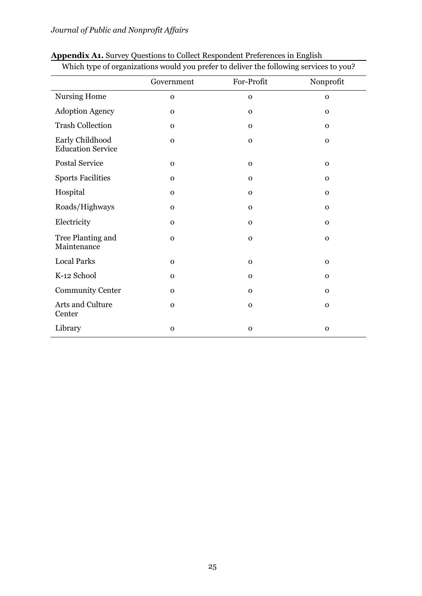| Which type of organizations would you prefer to deliver the following services to you? |              |              |              |  |  |
|----------------------------------------------------------------------------------------|--------------|--------------|--------------|--|--|
|                                                                                        | Government   | For-Profit   | Nonprofit    |  |  |
| <b>Nursing Home</b>                                                                    | $\mathbf 0$  | $\mathbf 0$  | $\mathbf{O}$ |  |  |
| <b>Adoption Agency</b>                                                                 | $\mathbf 0$  | $\mathbf 0$  | $\mathbf{0}$ |  |  |
| <b>Trash Collection</b>                                                                | $\mathbf 0$  | $\mathbf 0$  | $\mathbf{0}$ |  |  |
| Early Childhood<br><b>Education Service</b>                                            | $\mathbf 0$  | $\mathbf 0$  | $\mathbf 0$  |  |  |
| <b>Postal Service</b>                                                                  | $\mathbf 0$  | $\mathbf 0$  | $\mathbf 0$  |  |  |
| <b>Sports Facilities</b>                                                               | $\mathbf{O}$ | $\mathbf{O}$ | $\mathbf{O}$ |  |  |
| Hospital                                                                               | $\mathbf{O}$ | $\mathbf 0$  | $\mathbf{O}$ |  |  |
| Roads/Highways                                                                         | $\mathbf 0$  | $\mathbf 0$  | $\mathbf{O}$ |  |  |
| Electricity                                                                            | $\mathbf 0$  | $\mathbf 0$  | $\mathbf{O}$ |  |  |
| Tree Planting and<br>Maintenance                                                       | $\mathbf O$  | $\mathbf 0$  | $\mathbf{O}$ |  |  |
| <b>Local Parks</b>                                                                     | $\mathbf 0$  | $\mathbf 0$  | $\mathbf 0$  |  |  |
| K-12 School                                                                            | $\mathbf 0$  | $\mathbf 0$  | $\mathbf{O}$ |  |  |
| <b>Community Center</b>                                                                | $\mathbf 0$  | $\mathbf 0$  | $\mathbf{O}$ |  |  |
| Arts and Culture<br>Center                                                             | $\mathbf 0$  | $\mathbf{o}$ | $\mathbf 0$  |  |  |
| Library                                                                                | $\mathbf 0$  | $\mathbf 0$  | $\mathbf 0$  |  |  |

#### **Appendix A1.** Survey Questions to Collect Respondent Preferences in English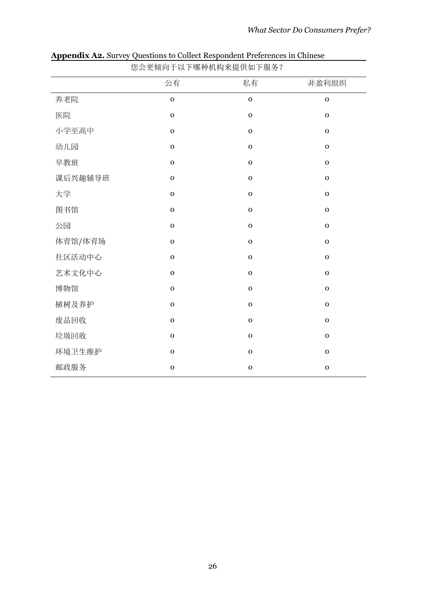| 您会更倾向于以下哪种机构来提供如下服务? |             |             |             |  |  |
|----------------------|-------------|-------------|-------------|--|--|
|                      | 公有          | 私有          | 非盈利组织       |  |  |
| 养老院                  | $\mathbf 0$ | $\mathbf 0$ | $\mathbf 0$ |  |  |
| 医院                   | $\mathbf 0$ | $\mathbf 0$ | $\mathbf 0$ |  |  |
| 小学至高中                | $\mathbf 0$ | $\mathbf 0$ | $\mathbf O$ |  |  |
| 幼儿园                  | $\mathbf 0$ | $\mathbf 0$ | $\mathbf 0$ |  |  |
| 早教班                  | $\mathbf 0$ | $\mathbf 0$ | $\mathbf 0$ |  |  |
| 课后兴趣辅导班              | $\mathbf 0$ | $\mathbf 0$ | $\mathbf 0$ |  |  |
| 大学                   | $\mathbf 0$ | $\mathbf 0$ | $\mathbf 0$ |  |  |
| 图书馆                  | $\mathbf O$ | $\mathbf 0$ | $\mathbf O$ |  |  |
| 公园                   | $\mathbf 0$ | $\mathbf 0$ | $\mathbf O$ |  |  |
| 体育馆/体育场              | $\mathbf 0$ | $\mathbf 0$ | $\mathbf 0$ |  |  |
| 社区活动中心               | $\mathbf O$ | $\mathbf 0$ | $\mathbf O$ |  |  |
| 艺术文化中心               | $\mathbf 0$ | $\mathbf 0$ | $\mathbf 0$ |  |  |
| 博物馆                  | $\mathbf 0$ | $\mathbf 0$ | $\mathbf 0$ |  |  |
| 植树及养护                | $\mathbf 0$ | $\mathbf 0$ | $\mathbf O$ |  |  |
| 废品回收                 | $\mathbf 0$ | $\mathbf 0$ | $\mathbf 0$ |  |  |
| 垃圾回收                 | $\mathbf 0$ | $\mathbf 0$ | $\mathbf O$ |  |  |
| 环境卫生维护               | $\mathbf O$ | $\mathbf 0$ | $\mathbf 0$ |  |  |
| 邮政服务                 | $\mathbf 0$ | $\mathbf 0$ | $\mathbf 0$ |  |  |

**Appendix A2.** Survey Questions to Collect Respondent Preferences in Chinese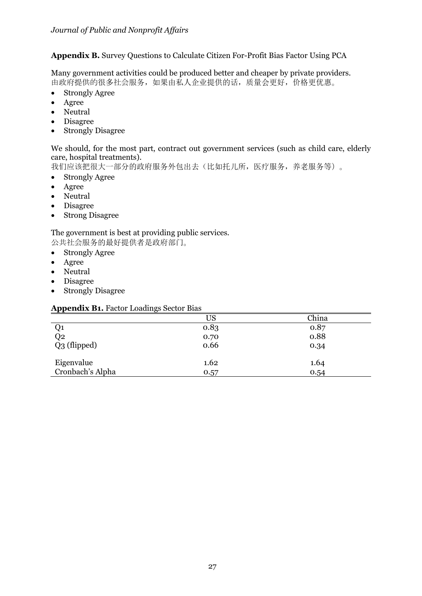# **Appendix B.** Survey Questions to Calculate Citizen For-Profit Bias Factor Using PCA

Many government activities could be produced better and cheaper by private providers. 由政府提供的很多社会服务,如果由私人企业提供的话,质量会更好,价格更优惠。

- Strongly Agree
- Agree
- Neutral
- Disagree
- Strongly Disagree

#### We should, for the most part, contract out government services (such as child care, elderly care, hospital treatments).

我们应该把很大一部分的政府服务外包出去(比如托儿所,医疗服务,养老服务等)。

- Strongly Agree
- Agree
- Neutral
- Disagree
- Strong Disagree

#### The government is best at providing public services. 公共社会服务的最好提供者是政府部门。

- Strongly Agree
- Agree
- Neutral
- Disagree
- Strongly Disagree

#### **Appendix B1.** Factor Loadings Sector Bias

|                  | <b>US</b> | China |
|------------------|-----------|-------|
|                  | 0.83      | 0.87  |
| Q1<br>Q2         | 0.70      | 0.88  |
| Q3 (flipped)     | 0.66      | 0.34  |
| Eigenvalue       | 1.62      | 1.64  |
| Cronbach's Alpha | 0.57      | 0.54  |